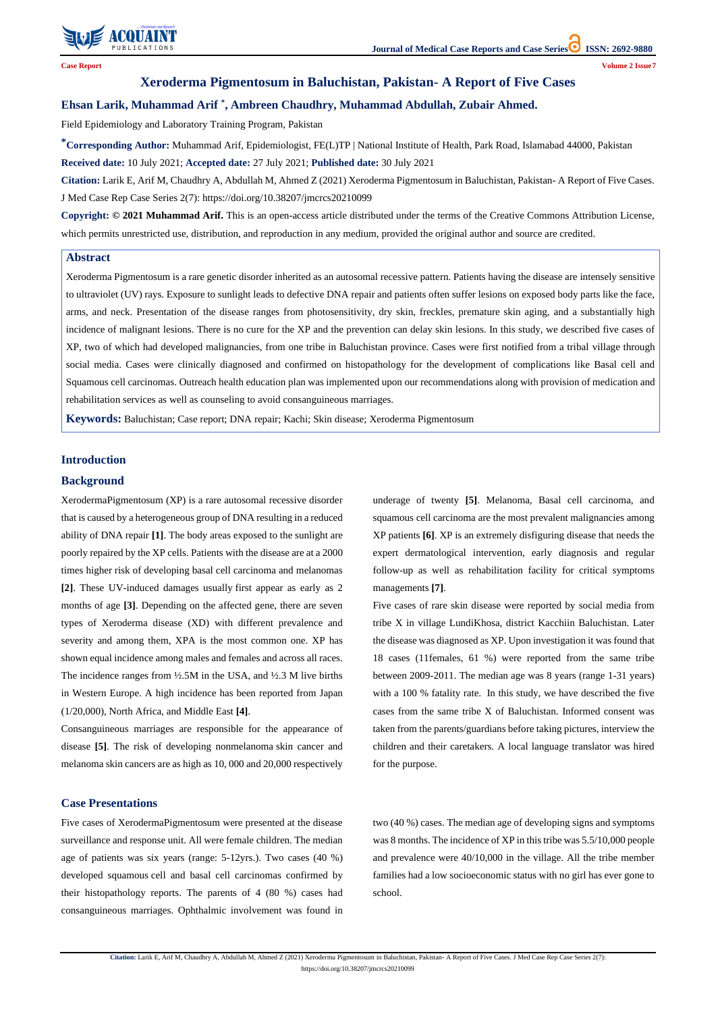

**Citation:** Larik E, Arif M, Chaudhry A, Abdullah M, Ahmed Z (2021) Xeroderma Pigmentosum in Baluchistan, Pakistan- A Report of Five Cases. J Med Case Rep Case Series 2(7):

https://doi.org/10.38207/jmcrcs20210099

**Case Report Volume 2 Issue7**

# **Xeroderma Pigmentosum in Baluchistan, Pakistan- A Report of Five Cases**

# **Ehsan Larik, Muhammad Arif \* , Ambreen Chaudhry, Muhammad Abdullah, Zubair Ahmed.**

Field Epidemiology and Laboratory Training Program, Pakistan

**\*Corresponding Author:** Muhammad Arif, Epidemiologist, FE(L)TP | National Institute of Health, Park Road, Islamabad 44000, Pakistan **Received date:** 10 July 2021; **Accepted date:** 27 July 2021; **Published date:** 30 July 2021

**Citation:** Larik E, Arif M, Chaudhry A, Abdullah M, Ahmed Z (2021) Xeroderma Pigmentosum in Baluchistan, Pakistan- A Report of Five Cases. J Med Case Rep Case Series 2(7): https://doi.org/10.38207/jmcrcs20210099

**Copyright: © 2021 Muhammad Arif.** This is an open-access article distributed under the terms of the Creative Commons Attribution License, which permits unrestricted use, distribution, and reproduction in any medium, provided the original author and source are credited.

### **Introduction**

#### **Background**

XerodermaPigmentosum (XP) is a rare autosomal recessive disorder that is caused by a heterogeneous group of DNA resulting in a reduced ability of DNA repair **[1]**. The body areas exposed to the sunlight are poorly repaired by the XP cells. Patients with the disease are at a 2000 times higher risk of developing basal cell carcinoma and melanomas **[2]**. These UV-induced damages usually first appear as early as 2 months of age **[3]**. Depending on the affected gene, there are seven types of Xeroderma disease (XD) with different prevalence and severity and among them, XPA is the most common one. XP has shown equal incidence among males and females and across all races. The incidence ranges from ½.5M in the USA, and ½.3 M live births in Western Europe. A high incidence has been reported from Japan (1/20,000), North Africa, and Middle East **[4]**.

Consanguineous marriages are responsible for the appearance of disease **[5]**. The risk of developing nonmelanoma skin cancer and melanoma skin cancers are as high as 10, 000 and 20,000 respectively underage of twenty **[5]**. Melanoma, Basal cell carcinoma, and squamous cell carcinoma are the most prevalent malignancies among XP patients **[6]**. XP is an extremely disfiguring disease that needs the expert dermatological intervention, early diagnosis and regular follow-up as well as rehabilitation facility for critical symptoms managements **[7]**.

Five cases of rare skin disease were reported by social media from tribe X in village LundiKhosa, district Kacchiin Baluchistan. Later the disease was diagnosed as XP. Upon investigation it was found that 18 cases (11females, 61 %) were reported from the same tribe between 2009-2011. The median age was 8 years (range 1-31 years) with a 100 % fatality rate. In this study, we have described the five cases from the same tribe X of Baluchistan. Informed consent was taken from the parents/guardians before taking pictures, interview the children and their caretakers. A local language translator was hired

for the purpose.

## **Case Presentations**

Five cases of XerodermaPigmentosum were presented at the disease surveillance and response unit. All were female children. The median age of patients was six years (range: 5-12yrs.). Two cases (40 %) developed squamous cell and basal cell carcinomas confirmed by their histopathology reports. The parents of 4 (80 %) cases had consanguineous marriages. Ophthalmic involvement was found in two (40 %) cases. The median age of developing signs and symptoms was 8 months. The incidence of XP in this tribe was 5.5/10,000 people and prevalence were 40/10,000 in the village. All the tribe member families had a low socioeconomic status with no girl has ever gone to school.

#### **Abstract**

Xeroderma Pigmentosum is a rare genetic disorder inherited as an autosomal recessive pattern. Patients having the disease are intensely sensitive to ultraviolet (UV) rays. Exposure to sunlight leads to defective DNA repair and patients often suffer lesions on exposed body parts like the face, arms, and neck. Presentation of the disease ranges from photosensitivity, dry skin, freckles, premature skin aging, and a substantially high incidence of malignant lesions. There is no cure for the XP and the prevention can delay skin lesions. In this study, we described five cases of XP, two of which had developed malignancies, from one tribe in Baluchistan province. Cases were first notified from a tribal village through social media. Cases were clinically diagnosed and confirmed on histopathology for the development of complications like Basal cell and Squamous cell carcinomas. Outreach health education plan was implemented upon our recommendations along with provision of medication and rehabilitation services as well as counseling to avoid consanguineous marriages.

**Keywords:** Baluchistan; Case report; DNA repair; Kachi; Skin disease; Xeroderma Pigmentosum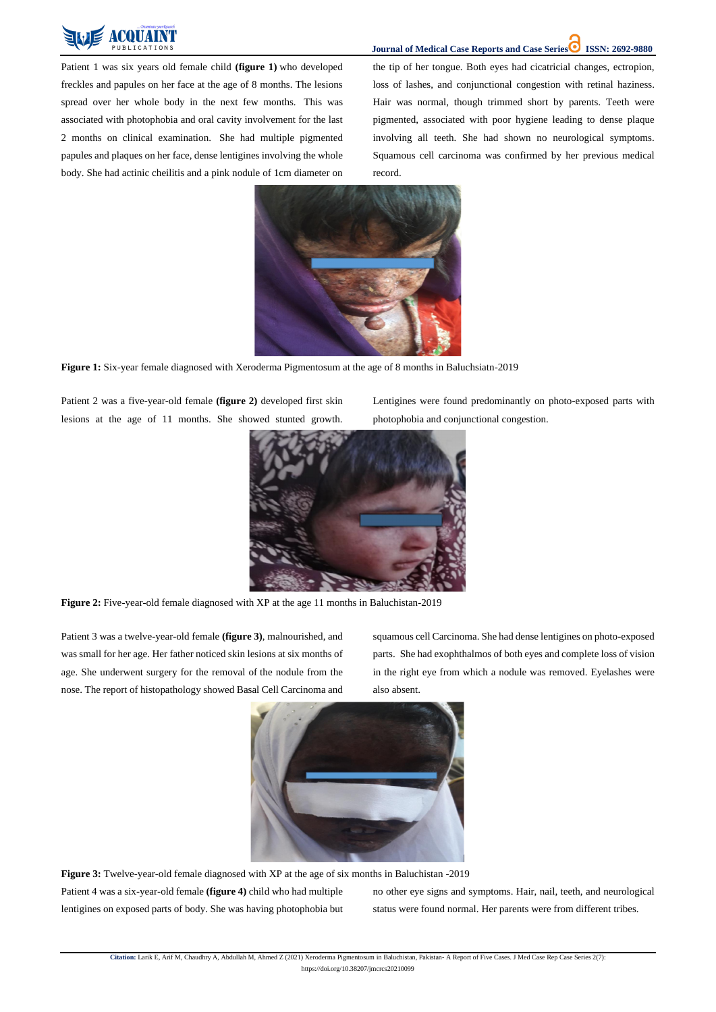

**Journal of Medical Case Reports and Case Series ISSN: 2692-9880** 

**Citation:** Larik E, Arif M, Chaudhry A, Abdullah M, Ahmed Z (2021) Xeroderma Pigmentosum in Baluchistan, Pakistan- A Report of Five Cases. J Med Case Rep Case Series 2(7): https://doi.org/10.38207/jmcrcs20210099

Patient 1 was six years old female child **(figure 1)** who developed freckles and papules on her face at the age of 8 months. The lesions spread over her whole body in the next few months. This was associated with photophobia and oral cavity involvement for the last 2 months on clinical examination. She had multiple pigmented papules and plaques on her face, dense lentigines involving the whole body. She had actinic cheilitis and a pink nodule of 1cm diameter on

the tip of her tongue. Both eyes had cicatricial changes, ectropion, loss of lashes, and conjunctional congestion with retinal haziness. Hair was normal, though trimmed short by parents. Teeth were pigmented, associated with poor hygiene leading to dense plaque involving all teeth. She had shown no neurological symptoms. Squamous cell carcinoma was confirmed by her previous medical record.



**Figure 1:** Six-year female diagnosed with Xeroderma Pigmentosum at the age of 8 months in Baluchsiatn-2019

Patient 2 was a five-year-old female **(figure 2)** developed first skin lesions at the age of 11 months. She showed stunted growth. Lentigines were found predominantly on photo-exposed parts with photophobia and conjunctional congestion.



**Figure 2:** Five-year-old female diagnosed with XP at the age 11 months in Baluchistan-2019

Patient 3 was a twelve-year-old female **(figure 3)**, malnourished, and was small for her age. Her father noticed skin lesions at six months of age. She underwent surgery for the removal of the nodule from the nose. The report of histopathology showed Basal Cell Carcinoma and squamous cell Carcinoma. She had dense lentigines on photo-exposed parts. She had exophthalmos of both eyes and complete loss of vision in the right eye from which a nodule was removed. Eyelashes were also absent.



**Figure 3:** Twelve-year-old female diagnosed with XP at the age of six months in Baluchistan -2019

Patient 4 was a six-year-old female **(figure 4)** child who had multiple lentigines on exposed parts of body. She was having photophobia but

no other eye signs and symptoms. Hair, nail, teeth, and neurological status were found normal. Her parents were from different tribes.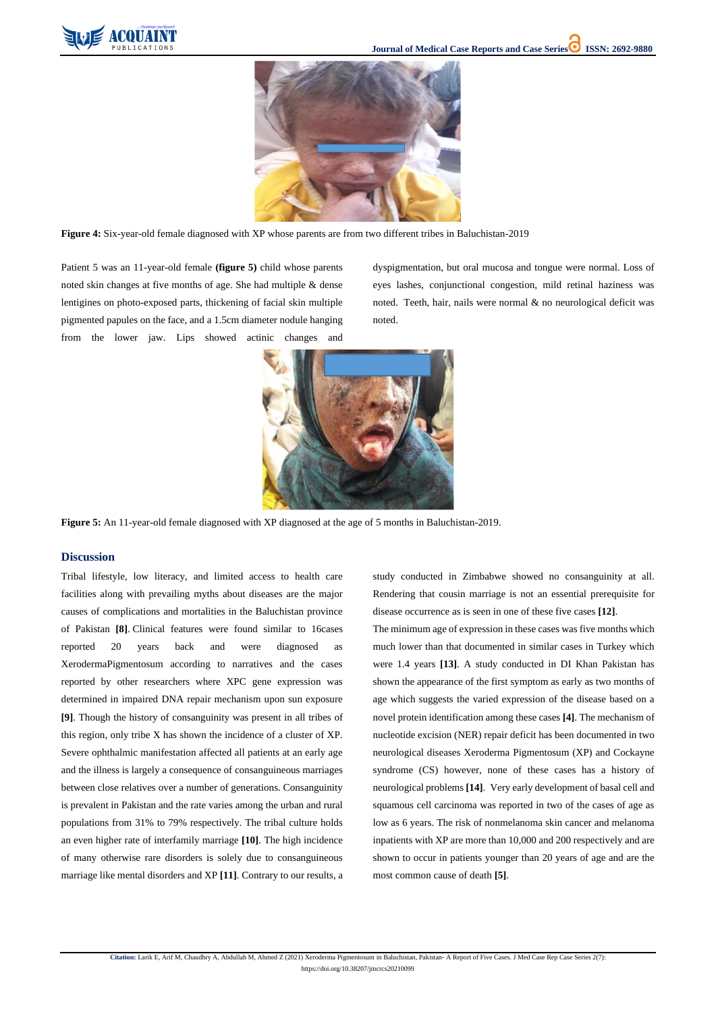

**Citation:** Larik E, Arif M, Chaudhry A, Abdullah M, Ahmed Z (2021) Xeroderma Pigmentosum in Baluchistan, Pakistan- A Report of Five Cases. J Med Case Rep Case Series 2(7):

https://doi.org/10.38207/jmcrcs20210099



**Figure 4:** Six-year-old female diagnosed with XP whose parents are from two different tribes in Baluchistan-2019

Patient 5 was an 11-year-old female **(figure 5)** child whose parents noted skin changes at five months of age. She had multiple & dense lentigines on photo-exposed parts, thickening of facial skin multiple pigmented papules on the face, and a 1.5cm diameter nodule hanging from the lower jaw. Lips showed actinic changes and dyspigmentation, but oral mucosa and tongue were normal. Loss of eyes lashes, conjunctional congestion, mild retinal haziness was noted. Teeth, hair, nails were normal & no neurological deficit was noted.



**Figure 5:** An 11-year-old female diagnosed with XP diagnosed at the age of 5 months in Baluchistan-2019.

#### **Discussion**

Tribal lifestyle, low literacy, and limited access to health care facilities along with prevailing myths about diseases are the major causes of complications and mortalities in the Baluchistan province of Pakistan **[8]**. Clinical features were found similar to 16cases reported 20 years back and were diagnosed as XerodermaPigmentosum according to narratives and the cases reported by other researchers where XPC gene expression was determined in impaired DNA repair mechanism upon sun exposure **[9]**. Though the history of consanguinity was present in all tribes of this region, only tribe X has shown the incidence of a cluster of XP. Severe ophthalmic manifestation affected all patients at an early age

and the illness is largely a consequence of consanguineous marriages between close relatives over a number of generations. Consanguinity is prevalent in Pakistan and the rate varies among the urban and rural populations from 31% to 79% respectively. The tribal culture holds an even higher rate of interfamily marriage **[10]**. The high incidence of many otherwise rare disorders is solely due to consanguineous marriage like mental disorders and XP **[11]**. Contrary to our results, a study conducted in Zimbabwe showed no consanguinity at all. Rendering that cousin marriage is not an essential prerequisite for disease occurrence as is seen in one of these five cases **[12]**.

The minimum age of expression in these cases was five months which much lower than that documented in similar cases in Turkey which were 1.4 years **[13]**. A study conducted in DI Khan Pakistan has shown the appearance of the first symptom as early as two months of age which suggests the varied expression of the disease based on a novel protein identification among these cases **[4]**. The mechanism of nucleotide excision (NER) repair deficit has been documented in two neurological diseases Xeroderma Pigmentosum (XP) and Cockayne

syndrome (CS) however, none of these cases has a history of neurological problems **[14]**. Very early development of basal cell and squamous cell carcinoma was reported in two of the cases of age as low as 6 years. The risk of nonmelanoma skin cancer and melanoma inpatients with XP are more than 10,000 and 200 respectively and are shown to occur in patients younger than 20 years of age and are the most common cause of death **[5]**.